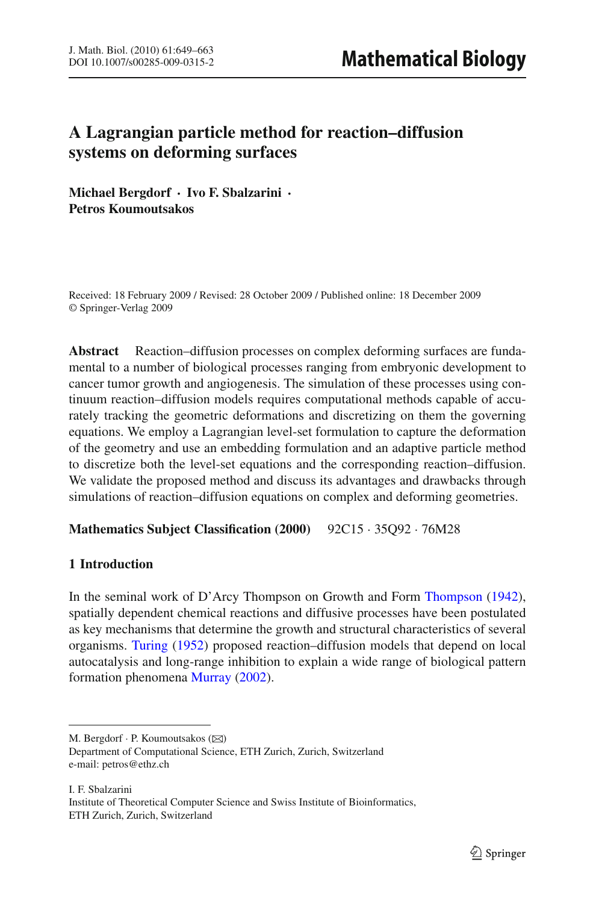# **A Lagrangian particle method for reaction–diffusion systems on deforming surfaces**

**Michael Bergdorf · Ivo F. Sbalzarini · Petros Koumoutsakos**

Received: 18 February 2009 / Revised: 28 October 2009 / Published online: 18 December 2009 © Springer-Verlag 2009

**Abstract** Reaction–diffusion processes on complex deforming surfaces are fundamental to a number of biological processes ranging from embryonic development to cancer tumor growth and angiogenesis. The simulation of these processes using continuum reaction–diffusion models requires computational methods capable of accurately tracking the geometric deformations and discretizing on them the governing equations. We employ a Lagrangian level-set formulation to capture the deformation of the geometry and use an embedding formulation and an adaptive particle method to discretize both the level-set equations and the corresponding reaction–diffusion. We validate the proposed method and discuss its advantages and drawbacks through simulations of reaction–diffusion equations on complex and deforming geometries.

# **Mathematics Subject Classification (2000)** 92C15 · 35Q92 · 76M28

# **1 Introduction**

In the seminal work of D'Arcy Thompson on Growth and Form [Thompson](#page-14-0) [\(1942](#page-14-0)), spatially dependent chemical reactions and diffusive processes have been postulated as key mechanisms that determine the growth and structural characteristics of several organisms. [Turing](#page-14-1) [\(1952](#page-14-1)) proposed reaction–diffusion models that depend on local autocatalysis and long-range inhibition to explain a wide range of biological pattern formation phenomena [Murray](#page-14-2) [\(2002\)](#page-14-2).

I. F. Sbalzarini Institute of Theoretical Computer Science and Swiss Institute of Bioinformatics, ETH Zurich, Zurich, Switzerland

M. Bergdorf  $\cdot$  P. Koumoutsakos ( $\boxtimes$ ) Department of Computational Science, ETH Zurich, Zurich, Switzerland e-mail: petros@ethz.ch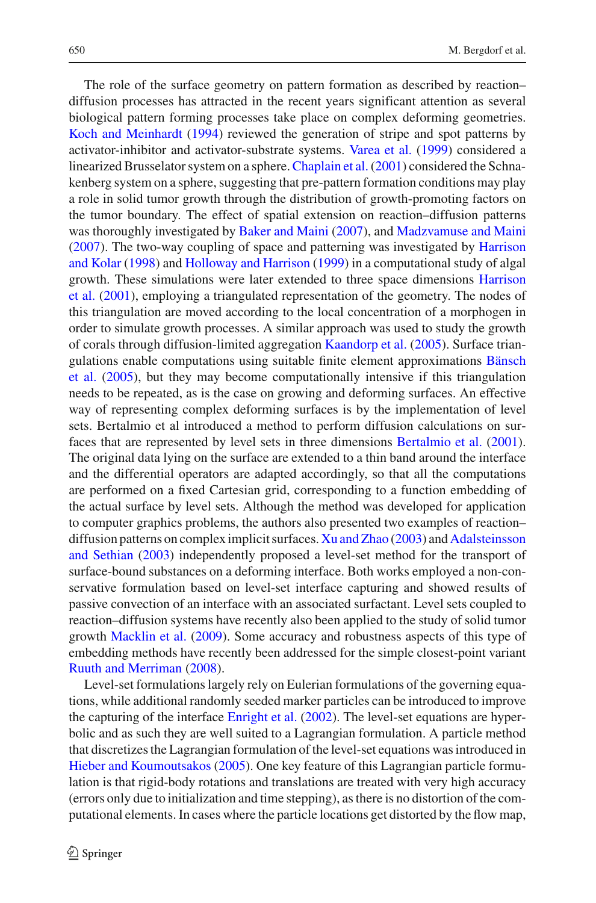The role of the surface geometry on pattern formation as described by reaction– diffusion processes has attracted in the recent years significant attention as several biological pattern forming processes take place on complex deforming geometries. [Koch and Meinhardt](#page-13-0) [\(1994](#page-13-0)) reviewed the generation of stripe and spot patterns by activator-inhibitor and activator-substrate systems. [Varea et al.](#page-14-3) [\(1999](#page-14-3)) considered a linearized Brusselator system on a sphere.[Chaplain et al.\(2001\)](#page-13-1) considered the Schnakenberg system on a sphere, suggesting that pre-pattern formation conditions may play a role in solid tumor growth through the distribution of growth-promoting factors on the tumor boundary. The effect of spatial extension on reaction–diffusion patterns was thoroughly investigated by [Baker and Maini](#page-13-2) [\(2007\)](#page-13-2), and [Madzvamuse and Maini](#page-14-4) [\(2007\)](#page-14-4). T[he](#page-13-3) [two-way](#page-13-3) [coupling](#page-13-3) [of](#page-13-3) [space](#page-13-3) [and](#page-13-3) [patterning](#page-13-3) [was](#page-13-3) [investigated](#page-13-3) [by](#page-13-3) Harrison and Kolar [\(1998\)](#page-13-3) and [Holloway and Harrison](#page-13-4) [\(1999](#page-13-4)) in a computational study of algal gro[wth.](#page-13-5) [These](#page-13-5) [simulations](#page-13-5) [were](#page-13-5) [later](#page-13-5) [extended](#page-13-5) [to](#page-13-5) [three](#page-13-5) [space](#page-13-5) [dimensions](#page-13-5) Harrison et al. [\(2001](#page-13-5)), employing a triangulated representation of the geometry. The nodes of this triangulation are moved according to the local concentration of a morphogen in order to simulate growth processes. A similar approach was used to study the growth of corals through diffusion-limited aggregation [Kaandorp et al.](#page-13-6) [\(2005\)](#page-13-6). Surface triangulat[ions](#page-13-7) [enable](#page-13-7) [computations](#page-13-7) [using](#page-13-7) [suitable](#page-13-7) [finite](#page-13-7) [element](#page-13-7) [approximations](#page-13-7) Bänsch et al. [\(2005](#page-13-7)), but they may become computationally intensive if this triangulation needs to be repeated, as is the case on growing and deforming surfaces. An effective way of representing complex deforming surfaces is by the implementation of level sets. Bertalmio et al introduced a method to perform diffusion calculations on surfaces that are represented by level sets in three dimensions [Bertalmio et al.](#page-13-8) [\(2001](#page-13-8)). The original data lying on the surface are extended to a thin band around the interface and the differential operators are adapted accordingly, so that all the computations are performed on a fixed Cartesian grid, corresponding to a function embedding of the actual surface by level sets. Although the method was developed for application to computer graphics problems, the authors also presented two examples of reaction– diffusion pa[tterns](#page-13-9) [on](#page-13-9) [complex](#page-13-9) [implicit](#page-13-9) [surfaces.](#page-13-9) [Xu and Zhao](#page-14-5) [\(2003](#page-14-5)) and Adalsteinsson and Sethian [\(2003](#page-13-9)) independently proposed a level-set method for the transport of surface-bound substances on a deforming interface. Both works employed a non-conservative formulation based on level-set interface capturing and showed results of passive convection of an interface with an associated surfactant. Level sets coupled to reaction–diffusion systems have recently also been applied to the study of solid tumor growth [Macklin et al.](#page-14-6) [\(2009](#page-14-6)). Some accuracy and robustness aspects of this type of embedding methods have recently been addressed for the simple closest-point variant [Ruuth and Merriman](#page-14-7) [\(2008](#page-14-7)).

Level-set formulations largely rely on Eulerian formulations of the governing equations, while additional randomly seeded marker particles can be introduced to improve the capturing of the interface [Enright et al.](#page-13-10) [\(2002](#page-13-10)). The level-set equations are hyperbolic and as such they are well suited to a Lagrangian formulation. A particle method that discretizes the Lagrangian formulation of the level-set equations was introduced in [Hieber and Koumoutsakos](#page-13-11) [\(2005](#page-13-11)). One key feature of this Lagrangian particle formulation is that rigid-body rotations and translations are treated with very high accuracy (errors only due to initialization and time stepping), as there is no distortion of the computational elements. In cases where the particle locations get distorted by the flow map,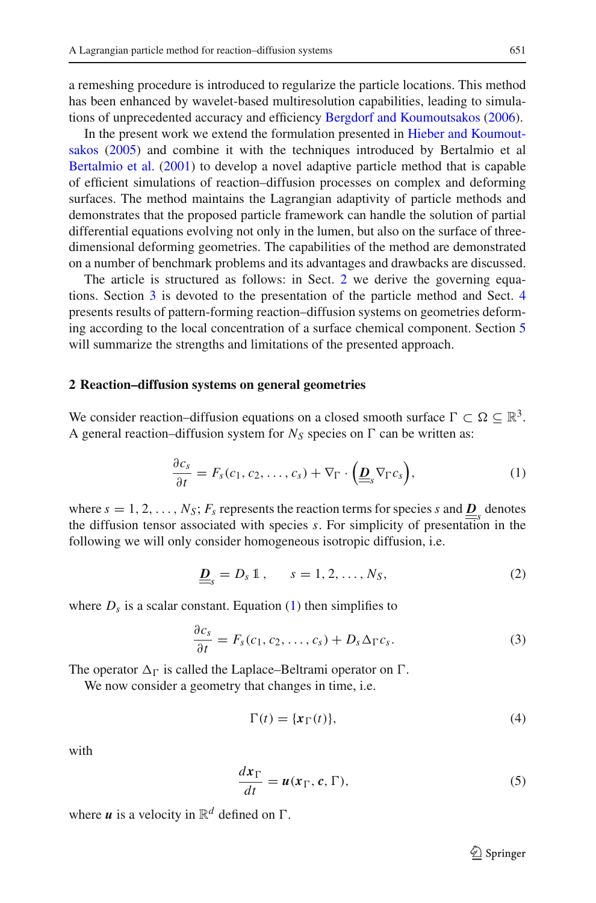a remeshing procedure is introduced to regularize the particle locations. This method has been enhanced by wavelet-based multiresolution capabilities, leading to simulations of unprecedented accuracy and efficiency [Bergdorf and Koumoutsakos](#page-13-12) [\(2006](#page-13-12)).

In [the](#page-13-11) [present](#page-13-11) [work](#page-13-11) [we](#page-13-11) [extend](#page-13-11) [the](#page-13-11) [formulation](#page-13-11) [presented](#page-13-11) [in](#page-13-11) Hieber and Koumoutsakos [\(2005\)](#page-13-11) and combine it with the techniques introduced by Bertalmio et al [Bertalmio et al.](#page-13-8) [\(2001\)](#page-13-8) to develop a novel adaptive particle method that is capable of efficient simulations of reaction–diffusion processes on complex and deforming surfaces. The method maintains the Lagrangian adaptivity of particle methods and demonstrates that the proposed particle framework can handle the solution of partial differential equations evolving not only in the lumen, but also on the surface of threedimensional deforming geometries. The capabilities of the method are demonstrated on a number of benchmark problems and its advantages and drawbacks are discussed.

The article is structured as follows: in Sect. [2](#page-2-0) we derive the governing equations. Section [3](#page-4-0) is devoted to the presentation of the particle method and Sect. [4](#page-7-0) presents results of pattern-forming reaction–diffusion systems on geometries deforming according to the local concentration of a surface chemical component. Section [5](#page-12-0) will summarize the strengths and limitations of the presented approach.

## <span id="page-2-0"></span>**2 Reaction–diffusion systems on general geometries**

We consider reaction–diffusion equations on a closed smooth surface  $\Gamma \subset \Omega \subseteq \mathbb{R}^3$ . A general reaction–diffusion system for  $N_S$  species on  $\Gamma$  can be written as:

$$
\frac{\partial c_s}{\partial t} = F_s(c_1, c_2, \dots, c_s) + \nabla_{\Gamma} \cdot \left(\underline{\underline{D}}_s \nabla_{\Gamma} c_s\right),\tag{1}
$$

<span id="page-2-1"></span>where  $s = 1, 2, \ldots, N_S$ ;  $F_s$  represents the reaction terms for species *s* and  $\underline{D}_s$  denotes the diffusion tensor associated with species *s*. For simplicity of presentation in the following we will only consider homogeneous isotropic diffusion, i.e.

$$
\underline{\underline{D}}_s = D_s \mathbb{1}, \qquad s = 1, 2, \dots, N_S,
$$
 (2)

where  $D_s$  is a scalar constant. Equation [\(1\)](#page-2-1) then simplifies to

$$
\frac{\partial c_s}{\partial t} = F_s(c_1, c_2, \dots, c_s) + D_s \Delta_{\Gamma} c_s. \tag{3}
$$

The operator  $\Delta_{\Gamma}$  is called the Laplace–Beltrami operator on  $\Gamma$ .

We now consider a geometry that changes in time, i.e.

$$
\Gamma(t) = \{x_{\Gamma}(t)\},\tag{4}
$$

with

$$
\frac{d\mathbf{x}_{\Gamma}}{dt} = \mathbf{u}(\mathbf{x}_{\Gamma}, \mathbf{c}, \Gamma),\tag{5}
$$

<span id="page-2-2"></span>where  $\boldsymbol{u}$  is a velocity in  $\mathbb{R}^d$  defined on  $\Gamma$ .

 $\mathcal{L}$  Springer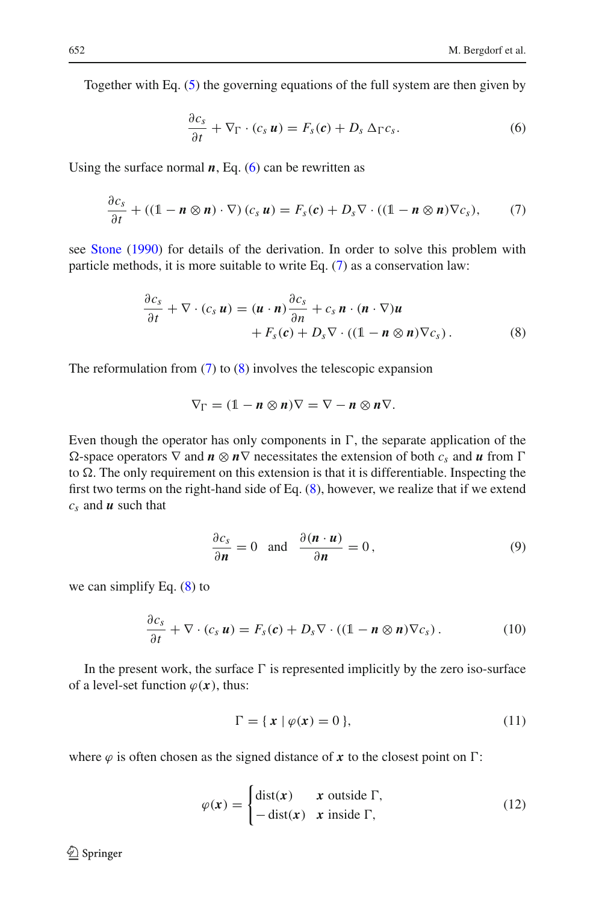<span id="page-3-0"></span>Together with Eq. [\(5\)](#page-2-2) the governing equations of the full system are then given by

$$
\frac{\partial c_s}{\partial t} + \nabla_{\Gamma} \cdot (c_s \, \boldsymbol{u}) = F_s(\boldsymbol{c}) + D_s \, \Delta_{\Gamma} c_s. \tag{6}
$$

<span id="page-3-1"></span>Using the surface normal  $n$ , Eq. [\(6\)](#page-3-0) can be rewritten as

$$
\frac{\partial c_s}{\partial t} + ((1 - n \otimes n) \cdot \nabla) (c_s u) = F_s(c) + D_s \nabla \cdot ((1 - n \otimes n) \nabla c_s), \qquad (7)
$$

<span id="page-3-2"></span>see [Stone](#page-14-8) [\(1990\)](#page-14-8) for details of the derivation. In order to solve this problem with particle methods, it is more suitable to write Eq. [\(7\)](#page-3-1) as a conservation law:

$$
\frac{\partial c_s}{\partial t} + \nabla \cdot (c_s \, \boldsymbol{u}) = (\boldsymbol{u} \cdot \boldsymbol{n}) \frac{\partial c_s}{\partial n} + c_s \, \boldsymbol{n} \cdot (\boldsymbol{n} \cdot \nabla) \boldsymbol{u} \n+ F_s(\boldsymbol{c}) + D_s \nabla \cdot ((1 - \boldsymbol{n} \otimes \boldsymbol{n}) \nabla c_s).
$$
\n(8)

The reformulation from  $(7)$  to  $(8)$  involves the telescopic expansion

$$
\nabla_{\Gamma} = (1 - n \otimes n) \nabla = \nabla - n \otimes n \nabla.
$$

Even though the operator has only components in  $\Gamma$ , the separate application of the  $Ω$ -space operators  $∇$  and  $n \otimes n∇$  necessitates the extension of both  $c_s$  and *u* from Γ to  $\Omega$ . The only requirement on this extension is that it is differentiable. Inspecting the first two terms on the right-hand side of Eq.  $(8)$ , however, we realize that if we extend *cs* and *u* such that

$$
\frac{\partial c_s}{\partial \mathbf{n}} = 0 \quad \text{and} \quad \frac{\partial (\mathbf{n} \cdot \mathbf{u})}{\partial \mathbf{n}} = 0, \tag{9}
$$

<span id="page-3-4"></span><span id="page-3-3"></span>we can simplify Eq. [\(8\)](#page-3-2) to

$$
\frac{\partial c_s}{\partial t} + \nabla \cdot (c_s \mathbf{u}) = F_s(\mathbf{c}) + D_s \nabla \cdot ((\mathbb{1} - \mathbf{n} \otimes \mathbf{n}) \nabla c_s). \tag{10}
$$

In the present work, the surface  $\Gamma$  is represented implicitly by the zero iso-surface of a level-set function  $\varphi(x)$ , thus:

$$
\Gamma = \{ x \mid \varphi(x) = 0 \},\tag{11}
$$

where  $\varphi$  is often chosen as the signed distance of x to the closest point on  $\Gamma$ :

$$
\varphi(\mathbf{x}) = \begin{cases} \text{dist}(\mathbf{x}) & \mathbf{x} \text{ outside } \Gamma, \\ -\text{dist}(\mathbf{x}) & \mathbf{x} \text{ inside } \Gamma, \end{cases}
$$
(12)

<sup>2</sup> Springer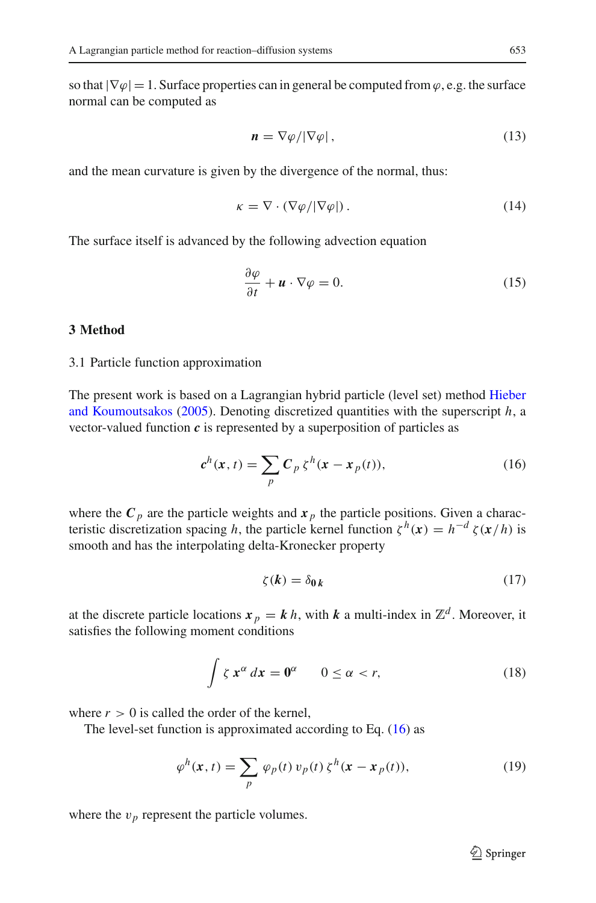so that  $|\nabla \varphi| = 1$ . Surface properties can in general be computed from  $\varphi$ , e.g. the surface normal can be computed as

$$
\mathbf{n} = \nabla \varphi / |\nabla \varphi| \,, \tag{13}
$$

<span id="page-4-3"></span>and the mean curvature is given by the divergence of the normal, thus:

$$
\kappa = \nabla \cdot (\nabla \varphi / |\nabla \varphi|). \tag{14}
$$

<span id="page-4-2"></span>The surface itself is advanced by the following advection equation

$$
\frac{\partial \varphi}{\partial t} + \mathbf{u} \cdot \nabla \varphi = 0. \tag{15}
$$

## <span id="page-4-0"></span>**3 Method**

### 3.1 Particle function approximation

The present work i[s](#page-13-11) [based](#page-13-11) [on](#page-13-11) [a](#page-13-11) [Lagrangian](#page-13-11) [hybrid](#page-13-11) [particle](#page-13-11) [\(level](#page-13-11) [set\)](#page-13-11) [method](#page-13-11) Hieber and Koumoutsakos [\(2005\)](#page-13-11). Denoting discretized quantities with the superscript *h*, a vector-valued function *c* is represented by a superposition of particles as

$$
c^h(x,t) = \sum_p C_p \zeta^h(x - x_p(t)),
$$
\n(16)

<span id="page-4-1"></span>where the  $C_p$  are the particle weights and  $x_p$  the particle positions. Given a characteristic discretization spacing *h*, the particle kernel function  $\zeta^h(x) = h^{-d} \zeta(x/h)$  is smooth and has the interpolating delta-Kronecker property

$$
\zeta(k) = \delta_{0k} \tag{17}
$$

at the discrete particle locations  $x_p = k h$ , with *k* a multi-index in  $\mathbb{Z}^d$ . Moreover, it satisfies the following moment conditions

$$
\int \zeta \, x^{\alpha} \, dx = 0^{\alpha} \qquad 0 \le \alpha < r,\tag{18}
$$

where  $r > 0$  is called the order of the kernel,

The level-set function is approximated according to Eq. [\(16\)](#page-4-1) as

$$
\varphi^h(\mathbf{x},t) = \sum_p \varphi_p(t) \, v_p(t) \, \zeta^h(\mathbf{x} - \mathbf{x}_p(t)),\tag{19}
$$

where the  $v_p$  represent the particle volumes.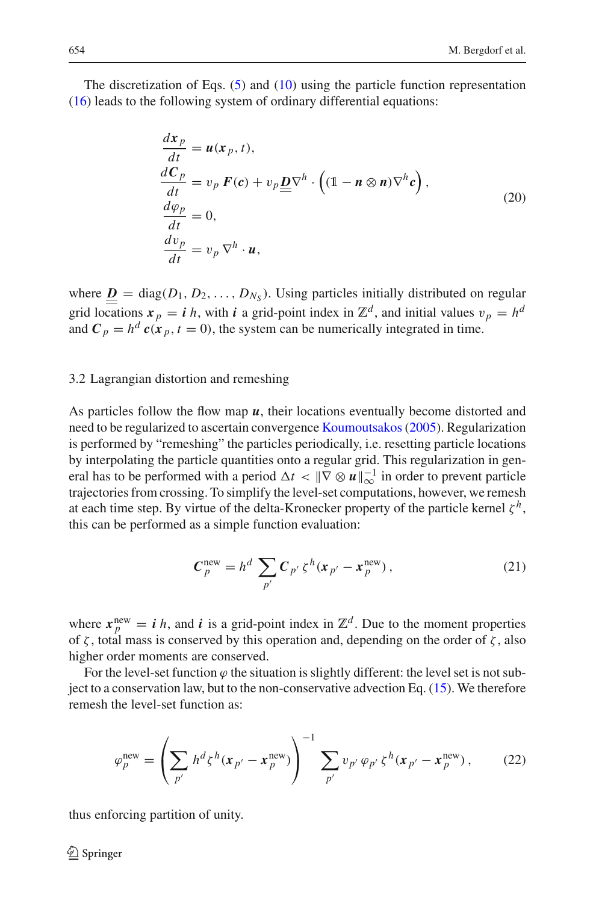The discretization of Eqs. [\(5\)](#page-2-2) and [\(10\)](#page-3-3) using the particle function representation [\(16\)](#page-4-1) leads to the following system of ordinary differential equations:

$$
\frac{dx_p}{dt} = u(x_p, t),\n\frac{dC_p}{dt} = v_p F(c) + v_p \underline{D} \nabla^h \cdot ((1 - n \otimes n) \nabla^h c),\n\frac{d\varphi_p}{dt} = 0,\n\frac{dv_p}{dt} = v_p \nabla^h \cdot u,
$$
\n(20)

where  $\underline{\mathbf{D}} = \text{diag}(D_1, D_2, \dots, D_{N_S})$ . Using particles initially distributed on regular grid locations  $x_p = i h$ , with *i* a grid-point index in  $\mathbb{Z}^d$ , and initial values  $v_p = h^d$ and  $C_p = h^d c(x_p, t = 0)$ , the system can be numerically integrated in time.

# 3.2 Lagrangian distortion and remeshing

As particles follow the flow map *u*, their locations eventually become distorted and need to be regularized to ascertain convergence [Koumoutsakos\(2005\)](#page-13-13). Regularization is performed by "remeshing" the particles periodically, i.e. resetting particle locations by interpolating the particle quantities onto a regular grid. This regularization in general has to be performed with a period  $\Delta t < ||\nabla \otimes \boldsymbol{u}||_{\infty}^{-1}$  in order to prevent particle trajectories from crossing. To simplify the level-set computations, however, we remesh at each time step. By virtue of the delta-Kronecker property of the particle kernel  $\zeta^h$ , this can be performed as a simple function evaluation:

$$
\mathcal{C}_p^{\text{new}} = h^d \sum_{p'} \mathcal{C}_{p'} \zeta^h (x_{p'} - x_p^{\text{new}}), \qquad (21)
$$

where  $\mathbf{x}_p^{\text{new}} = i \, h$ , and *i* is a grid-point index in  $\mathbb{Z}^d$ . Due to the moment properties of ζ, total mass is conserved by this operation and, depending on the order of ζ, also higher order moments are conserved.

For the level-set function  $\varphi$  the situation is slightly different: the level set is not subject to a conservation law, but to the non-conservative advection Eq. [\(15\)](#page-4-2). We therefore remesh the level-set function as:

$$
\varphi_p^{\text{new}} = \left(\sum_{p'} h^d \zeta^h (x_{p'} - x_p^{\text{new}})\right)^{-1} \sum_{p'} v_{p'} \varphi_{p'} \zeta^h (x_{p'} - x_p^{\text{new}}), \quad (22)
$$

thus enforcing partition of unity.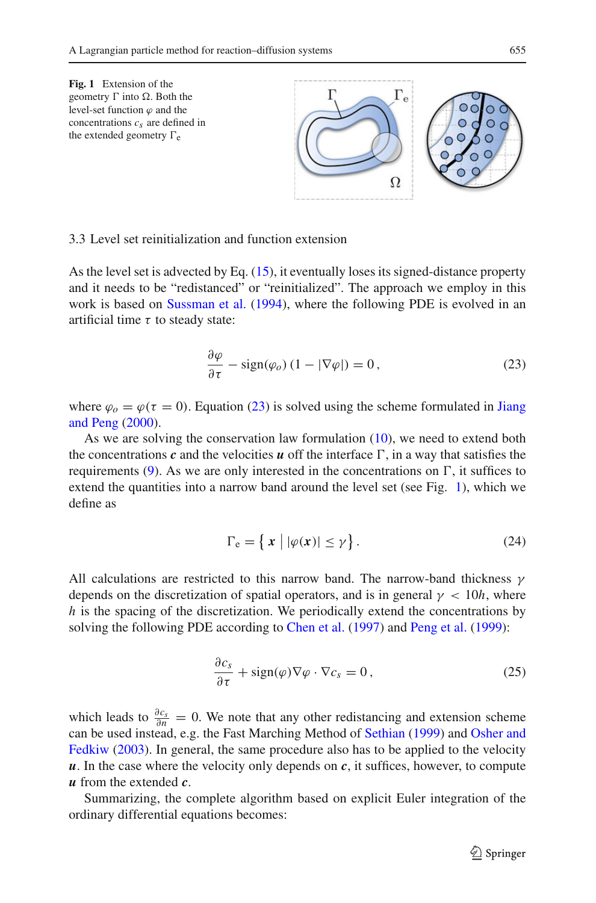<span id="page-6-1"></span>

#### 3.3 Level set reinitialization and function extension

As the level set is advected by Eq. [\(15\)](#page-4-2), it eventually loses its signed-distance property and it needs to be "redistanced" or "reinitialized". The approach we employ in this work is based on [Sussman et al.](#page-14-9) [\(1994](#page-14-9)), where the following PDE is evolved in an artificial time  $\tau$  to steady state:

$$
\frac{\partial \varphi}{\partial \tau} - \text{sign}(\varphi_o) (1 - |\nabla \varphi|) = 0, \qquad (23)
$$

<span id="page-6-0"></span>where  $\varphi$ <sub>o</sub> =  $\varphi$ ( $\tau$  = 0)[.](#page-13-14) [Equation](#page-13-14) [\(23\)](#page-6-0) [is](#page-13-14) [solved](#page-13-14) [using](#page-13-14) [the](#page-13-14) [scheme](#page-13-14) [formulated](#page-13-14) [in](#page-13-14) Jiang and Peng [\(2000](#page-13-14)).

As we are solving the conservation law formulation [\(10\)](#page-3-3), we need to extend both the concentrations  $c$  and the velocities  $u$  off the interface  $\Gamma$ , in a way that satisfies the requirements  $(9)$ . As we are only interested in the concentrations on  $\Gamma$ , it suffices to extend the quantities into a narrow band around the level set (see Fig. [1\)](#page-6-1), which we define as

$$
\Gamma_{\rm e} = \left\{ x \mid |\varphi(x)| \le \gamma \right\}.
$$
\n(24)

All calculations are restricted to this narrow band. The narrow-band thickness  $\gamma$ depends on the discretization of spatial operators, and is in general  $\gamma < 10h$ , where *h* is the spacing of the discretization. We periodically extend the concentrations by solving the following PDE according to [Chen et al.](#page-13-15) [\(1997](#page-13-15)) and [Peng et al.](#page-14-10) [\(1999](#page-14-10)):

$$
\frac{\partial c_s}{\partial \tau} + \text{sign}(\varphi) \nabla \varphi \cdot \nabla c_s = 0, \qquad (25)
$$

which leads to  $\frac{\partial c_s}{\partial n} = 0$ . We note that any other redistancing and extension scheme can be [used](#page-14-12) [instead,](#page-14-12) [e.g.](#page-14-12) [the](#page-14-12) [Fast](#page-14-12) [Marching](#page-14-12) [Method](#page-14-12) [of](#page-14-12) [Sethian](#page-14-11) [\(1999\)](#page-14-11) and Osher and Fedkiw [\(2003\)](#page-14-12). In general, the same procedure also has to be applied to the velocity *. In the case where the velocity only depends on*  $*c*$ *, it suffices, however, to compute u* from the extended *c*.

Summarizing, the complete algorithm based on explicit Euler integration of the ordinary differential equations becomes: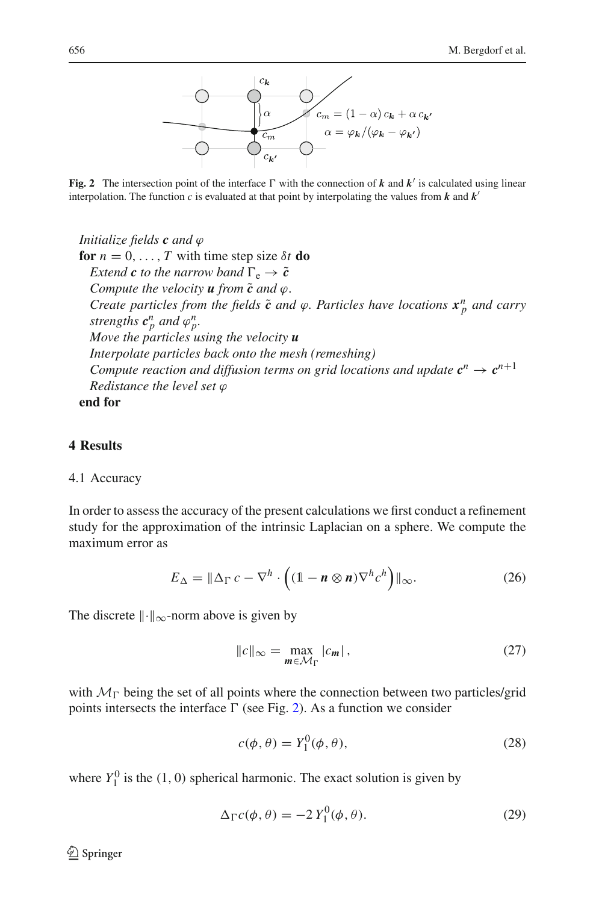

<span id="page-7-1"></span>Fig. 2 The intersection point of the interface  $\Gamma$  with the connection of  $k$  and  $k'$  is calculated using linear interpolation. The function  $c$  is evaluated at that point by interpolating the values from  $k$  and  $k'$ 

*Initialize fields c and* ϕ **for**  $n = 0, \ldots, T$  with time step size  $\delta t$  **do** *Extend c to the narrow band*  $\Gamma_e \rightarrow \tilde{c}$ *Compute the velocity*  $\boldsymbol{u}$  *from*  $\tilde{\boldsymbol{c}}$  *and*  $\varphi$ *. Create particles from the fields*  $\tilde{c}$  *and*  $\varphi$ *. Particles have locations*  $x_p^n$  *and carry strengths*  $c_p^n$  *and*  $\varphi_p^n$ . *Move the particles using the velocity u Interpolate particles back onto the mesh (remeshing) Compute reaction and diffusion terms on grid locations and update*  $c^n \rightarrow c^{n+1}$ *Redistance the level set* ϕ **end for**

<span id="page-7-0"></span>**4 Results**

# 4.1 Accuracy

In order to assess the accuracy of the present calculations we first conduct a refinement study for the approximation of the intrinsic Laplacian on a sphere. We compute the maximum error as

$$
E_{\Delta} = \|\Delta_{\Gamma} c - \nabla^{h} \cdot \left( (1 - n \otimes n) \nabla^{h} c^{h} \right) \|_{\infty}.
$$
 (26)

The discrete  $\|\cdot\|_{\infty}$ -norm above is given by

$$
||c||_{\infty} = \max_{m \in \mathcal{M}_{\Gamma}} |c_m|, \qquad (27)
$$

with  $M_{\Gamma}$  being the set of all points where the connection between two particles/grid points intersects the interface  $\Gamma$  (see Fig. [2\)](#page-7-1). As a function we consider

$$
c(\phi, \theta) = Y_1^0(\phi, \theta), \tag{28}
$$

<span id="page-7-2"></span>where  $Y_1^0$  is the (1, 0) spherical harmonic. The exact solution is given by

$$
\Delta_{\Gamma} c(\phi, \theta) = -2 Y_1^0(\phi, \theta). \tag{29}
$$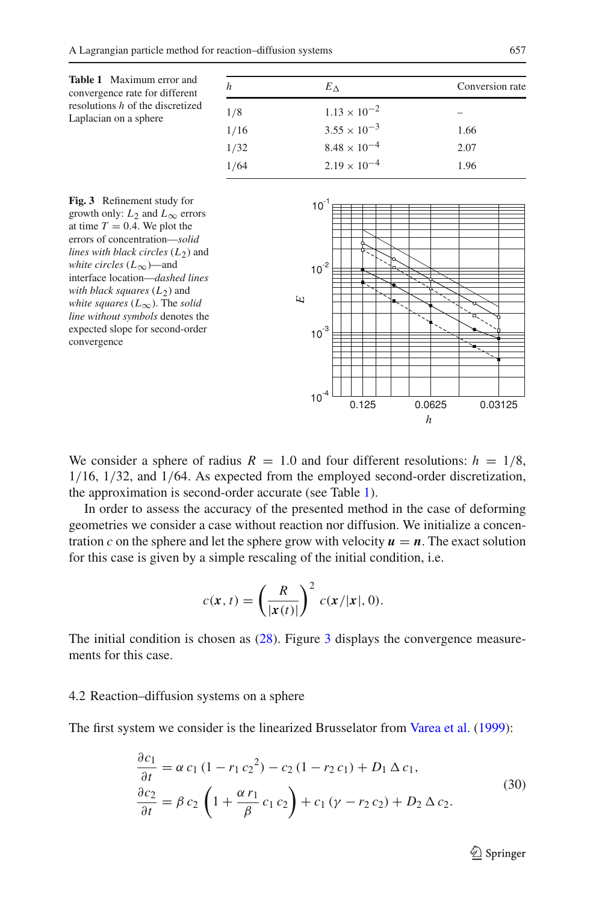<span id="page-8-0"></span>

| <b>Table 1</b> Maximum error and<br>convergence rate for different | h    | $E_{\Delta}$          | Conversion rate |
|--------------------------------------------------------------------|------|-----------------------|-----------------|
| resolutions $h$ of the discretized<br>Laplacian on a sphere        | 1/8  | $1.13 \times 10^{-2}$ |                 |
|                                                                    | 1/16 | $3.55 \times 10^{-3}$ | 1.66            |
|                                                                    | 1/32 | $8.48 \times 10^{-4}$ | 2.07            |
|                                                                    | 1/64 | $2.19 \times 10^{-4}$ | 1.96            |
|                                                                    |      |                       |                 |



<span id="page-8-1"></span>**Fig. 3** Refinement study for growth only:  $L_2$  and  $L_{\infty}$  errors at time  $T = 0.4$ . We plot the errors of concentration—*solid lines with black circles*  $(L_2)$  and *white circles* (*L*∞)—and interface location—*dashed lines with black squares* (*L*<sub>2</sub>) and *white squares* (*L*∞). The *solid line without symbols* denotes the expected slope for second-order convergence

We consider a sphere of radius  $R = 1.0$  and four different resolutions:  $h = 1/8$ , 1/16, 1/32, and 1/64. As expected from the employed second-order discretization, the approximation is second-order accurate (see Table [1\)](#page-8-0).

In order to assess the accuracy of the presented method in the case of deforming geometries we consider a case without reaction nor diffusion. We initialize a concentration *c* on the sphere and let the sphere grow with velocity  $u = n$ . The exact solution for this case is given by a simple rescaling of the initial condition, i.e.

$$
c(\mathbf{x},t) = \left(\frac{R}{|\mathbf{x}(t)|}\right)^2 c(\mathbf{x}/|\mathbf{x}|,0).
$$

The initial condition is chosen as [\(28\)](#page-7-2). Figure [3](#page-8-1) displays the convergence measurements for this case.

#### 4.2 Reaction–diffusion systems on a sphere

<span id="page-8-2"></span>The first system we consider is the linearized Brusselator from [Varea et al.](#page-14-3) [\(1999\)](#page-14-3):

$$
\frac{\partial c_1}{\partial t} = \alpha c_1 (1 - r_1 c_2^2) - c_2 (1 - r_2 c_1) + D_1 \Delta c_1,\n\frac{\partial c_2}{\partial t} = \beta c_2 \left( 1 + \frac{\alpha r_1}{\beta} c_1 c_2 \right) + c_1 (\gamma - r_2 c_2) + D_2 \Delta c_2.
$$
\n(30)

 $\mathcal{D}$  Springer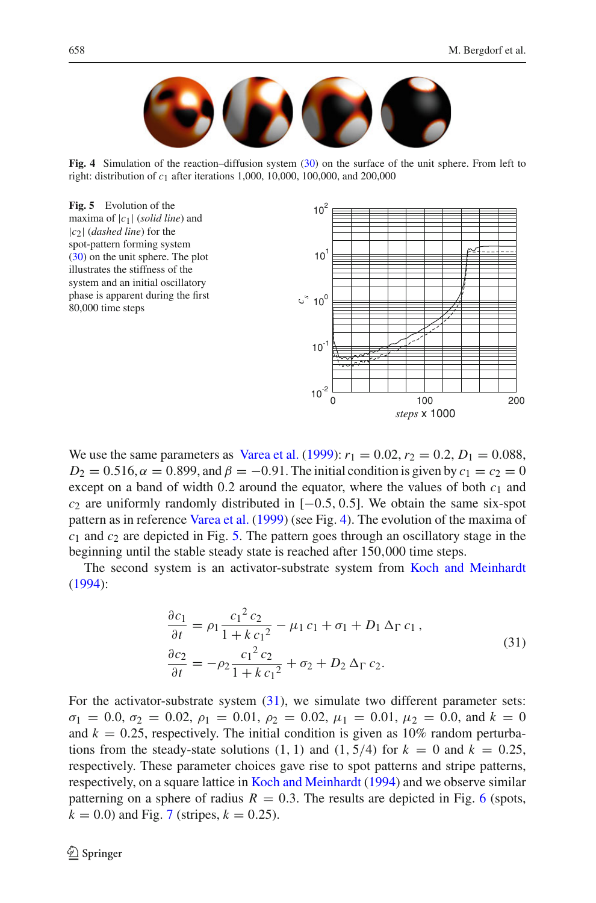

**Fig. 4** Simulation of the reaction–diffusion system [\(30\)](#page-8-2) on the surface of the unit sphere. From left to right: distribution of *c*1 after iterations 1,000, 10,000, 100,000, and 200,000

<span id="page-9-1"></span><span id="page-9-0"></span>

We use the same parameters as [Varea et al.](#page-14-3) [\(1999](#page-14-3)):  $r_1 = 0.02$ ,  $r_2 = 0.2$ ,  $D_1 = 0.088$ ,  $D_2 = 0.516$ ,  $\alpha = 0.899$ , and  $\beta = -0.91$ . The initial condition is given by  $c_1 = c_2 = 0$ except on a band of width  $0.2$  around the equator, where the values of both  $c_1$  and *c*<sup>2</sup> are uniformly randomly distributed in [−0.5, 0.5]. We obtain the same six-spot pattern as in reference [Varea et al.](#page-14-3) [\(1999](#page-14-3)) (see Fig. [4\)](#page-9-0). The evolution of the maxima of *c*<sup>1</sup> and *c*<sup>2</sup> are depicted in Fig. [5.](#page-9-1) The pattern goes through an oscillatory stage in the beginning until the stable steady state is reached after 150,000 time steps.

The second system is an activator-substrate system from [Koch and Meinhardt](#page-13-0) [\(1994\)](#page-13-0):

$$
\frac{\partial c_1}{\partial t} = \rho_1 \frac{c_1^2 c_2}{1 + k c_1^2} - \mu_1 c_1 + \sigma_1 + D_1 \Delta_{\Gamma} c_1 ,
$$
  
\n
$$
\frac{\partial c_2}{\partial t} = -\rho_2 \frac{c_1^2 c_2}{1 + k c_1^2} + \sigma_2 + D_2 \Delta_{\Gamma} c_2.
$$
\n(31)

<span id="page-9-2"></span>For the activator-substrate system  $(31)$ , we simulate two different parameter sets:  $\sigma_1 = 0.0, \sigma_2 = 0.02, \rho_1 = 0.01, \rho_2 = 0.02, \mu_1 = 0.01, \mu_2 = 0.0, \text{ and } k = 0$ and  $k = 0.25$ , respectively. The initial condition is given as 10% random perturbations from the steady-state solutions  $(1, 1)$  and  $(1, 5/4)$  for  $k = 0$  and  $k = 0.25$ , respectively. These parameter choices gave rise to spot patterns and stripe patterns, respectively, on a square lattice in [Koch and Meinhardt](#page-13-0) [\(1994\)](#page-13-0) and we observe similar patterning on a sphere of radius  $R = 0.3$ . The results are depicted in Fig. [6](#page-10-0) (spots,  $k = 0.0$ ) and Fig. [7](#page-10-1) (stripes,  $k = 0.25$ ).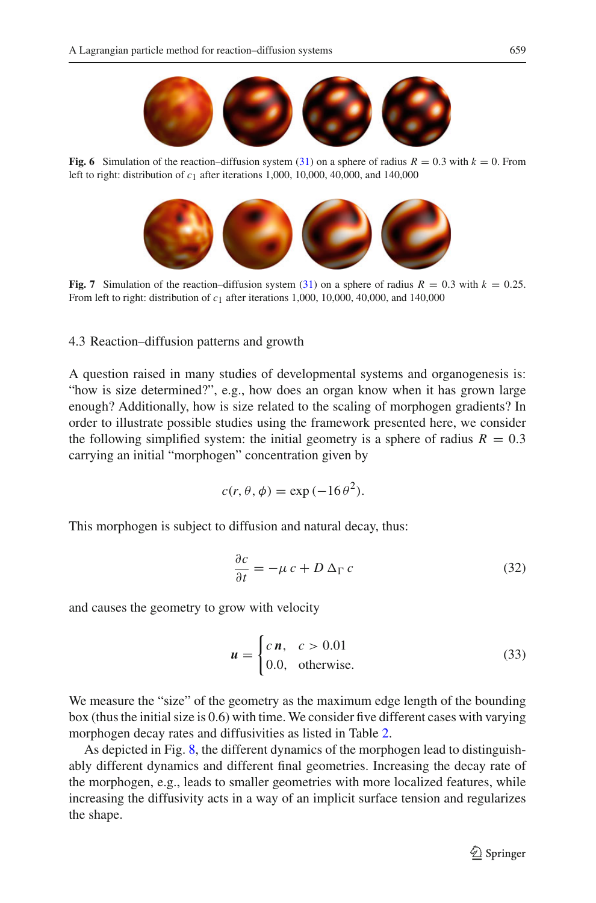

<span id="page-10-0"></span>**Fig. 6** Simulation of the reaction–diffusion system [\(31\)](#page-9-2) on a sphere of radius  $R = 0.3$  with  $k = 0$ . From left to right: distribution of *c*1 after iterations 1,000, 10,000, 40,000, and 140,000



**Fig. 7** Simulation of the reaction–diffusion system [\(31\)](#page-9-2) on a sphere of radius  $R = 0.3$  with  $k = 0.25$ . From left to right: distribution of  $c_1$  after iterations 1,000, 10,000, 40,000, and 140,000

<span id="page-10-1"></span>4.3 Reaction–diffusion patterns and growth

A question raised in many studies of developmental systems and organogenesis is: "how is size determined?", e.g., how does an organ know when it has grown large enough? Additionally, how is size related to the scaling of morphogen gradients? In order to illustrate possible studies using the framework presented here, we consider the following simplified system: the initial geometry is a sphere of radius  $R = 0.3$ carrying an initial "morphogen" concentration given by

$$
c(r, \theta, \phi) = \exp(-16\theta^2).
$$

This morphogen is subject to diffusion and natural decay, thus:

$$
\frac{\partial c}{\partial t} = -\mu c + D \Delta_{\Gamma} c \tag{32}
$$

<span id="page-10-2"></span>and causes the geometry to grow with velocity

$$
\mathbf{u} = \begin{cases} c \mathbf{n}, & c > 0.01 \\ 0.0, & \text{otherwise.} \end{cases} \tag{33}
$$

We measure the "size" of the geometry as the maximum edge length of the bounding box (thus the initial size is 0.6) with time. We consider five different cases with varying morphogen decay rates and diffusivities as listed in Table [2.](#page-11-0)

As depicted in Fig. [8,](#page-11-1) the different dynamics of the morphogen lead to distinguishably different dynamics and different final geometries. Increasing the decay rate of the morphogen, e.g., leads to smaller geometries with more localized features, while increasing the diffusivity acts in a way of an implicit surface tension and regularizes the shape.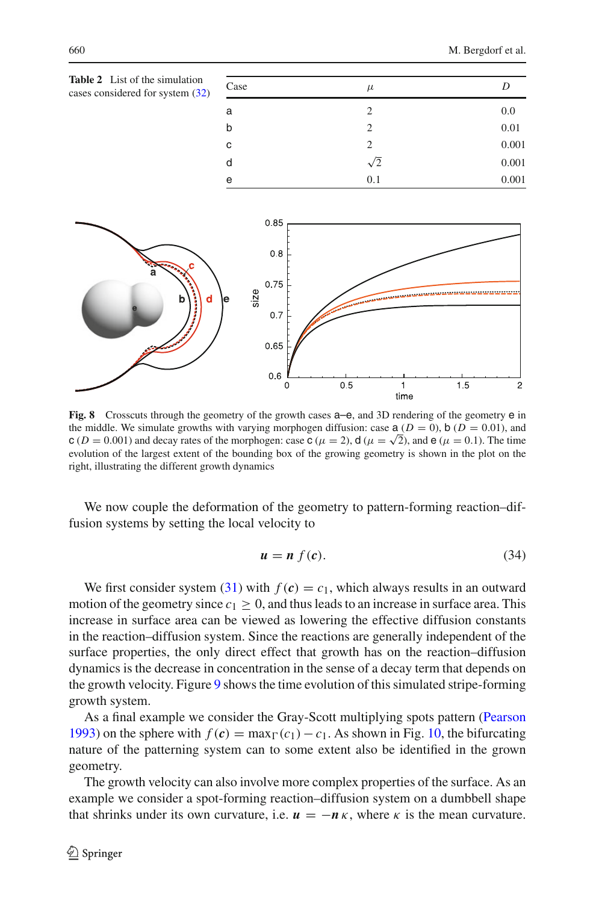<span id="page-11-0"></span>

| <b>Table 2</b> List of the simulation<br>cases considered for system (32) |      |               |       |  |
|---------------------------------------------------------------------------|------|---------------|-------|--|
|                                                                           | Case | $\mu$         |       |  |
|                                                                           | а    | $\mathcal{L}$ | 0.0   |  |
|                                                                           | b    |               | 0.01  |  |
|                                                                           | с    | 2             | 0.001 |  |
|                                                                           | d    | $\sqrt{2}$    | 0.001 |  |
|                                                                           | е    | 0.1           | 0.001 |  |



<span id="page-11-1"></span>**Fig. 8** Crosscuts through the geometry of the growth cases  $a-e$ , and 3D rendering of the geometry  $e$  in the middle. We simulate growths with varying morphogen diffusion: case  $a (D = 0)$ ,  $b (D = 0.01)$ , and  $c (D = 0.001)$  and decay rates of the morphogen: case  $c (\mu = 2)$ ,  $d (\mu = \sqrt{2})$ , and  $e (\mu = 0.1)$ . The time evolution of the largest extent of the bounding box of the growing geometry is shown in the plot on the right, illustrating the different growth dynamics

We now couple the deformation of the geometry to pattern-forming reaction–diffusion systems by setting the local velocity to

$$
u = n f(c). \tag{34}
$$

We first consider system [\(31\)](#page-9-2) with  $f(c) = c_1$ , which always results in an outward motion of the geometry since  $c_1 > 0$ , and thus leads to an increase in surface area. This increase in surface area can be viewed as lowering the effective diffusion constants in the reaction–diffusion system. Since the reactions are generally independent of the surface properties, the only direct effect that growth has on the reaction–diffusion dynamics is the decrease in concentration in the sense of a decay term that depends on the growth velocity. Figure [9](#page-12-1) shows the time evolution of this simulated stripe-forming growth system.

As a final example we consider the Gray-Scott multiplying spots pattern [\(Pearson](#page-14-13) [1993\)](#page-14-13) on the sphere with  $f(c) = \max_{\Gamma}(c_1) - c_1$ . As shown in Fig. [10,](#page-12-2) the bifurcating nature of the patterning system can to some extent also be identified in the grown geometry.

The growth velocity can also involve more complex properties of the surface. As an example we consider a spot-forming reaction–diffusion system on a dumbbell shape that shrinks under its own curvature, i.e.  $u = -n \kappa$ , where  $\kappa$  is the mean curvature.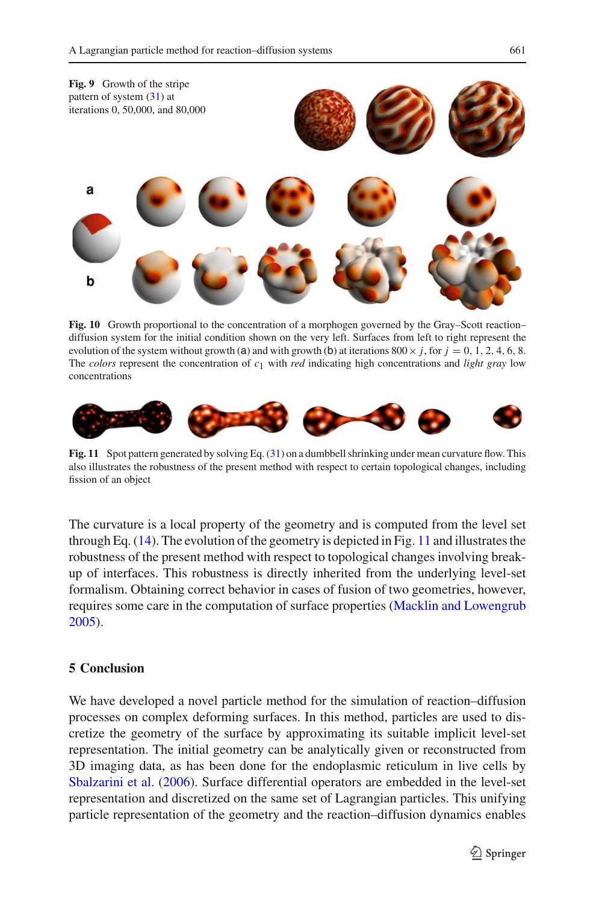<span id="page-12-1"></span>

<span id="page-12-2"></span>**Fig. 10** Growth proportional to the concentration of a morphogen governed by the Gray–Scott reaction– diffusion system for the initial condition shown on the very left. Surfaces from left to right represent the evolution of the system without growth (a) and with growth (b) at iterations  $800 \times j$ , for  $j = 0, 1, 2, 4, 6, 8$ . The *colors* represent the concentration of *c*1 with *red* indicating high concentrations and *light gray* low concentrations



<span id="page-12-3"></span>**Fig. 11** Spot pattern generated by solving Eq. [\(31\)](#page-9-2) on a dumbbell shrinking under mean curvature flow. This also illustrates the robustness of the present method with respect to certain topological changes, including fission of an object

The curvature is a local property of the geometry and is computed from the level set through Eq. [\(14\)](#page-4-3). The evolution of the geometry is depicted in Fig. [11](#page-12-3) and illustrates the robustness of the present method with respect to topological changes involving breakup of interfaces. This robustness is directly inherited from the underlying level-set formalism. Obtaining correct behavior in cases of fusion of two geometries, however, requires some care in the computation of surface properties [\(Macklin and Lowengrub](#page-14-14) [2005\)](#page-14-14).

# <span id="page-12-0"></span>**5 Conclusion**

We have developed a novel particle method for the simulation of reaction–diffusion processes on complex deforming surfaces. In this method, particles are used to discretize the geometry of the surface by approximating its suitable implicit level-set representation. The initial geometry can be analytically given or reconstructed from 3D imaging data, as has been done for the endoplasmic reticulum in live cells by [Sbalzarini et al.](#page-14-15) [\(2006](#page-14-15)). Surface differential operators are embedded in the level-set representation and discretized on the same set of Lagrangian particles. This unifying particle representation of the geometry and the reaction–diffusion dynamics enables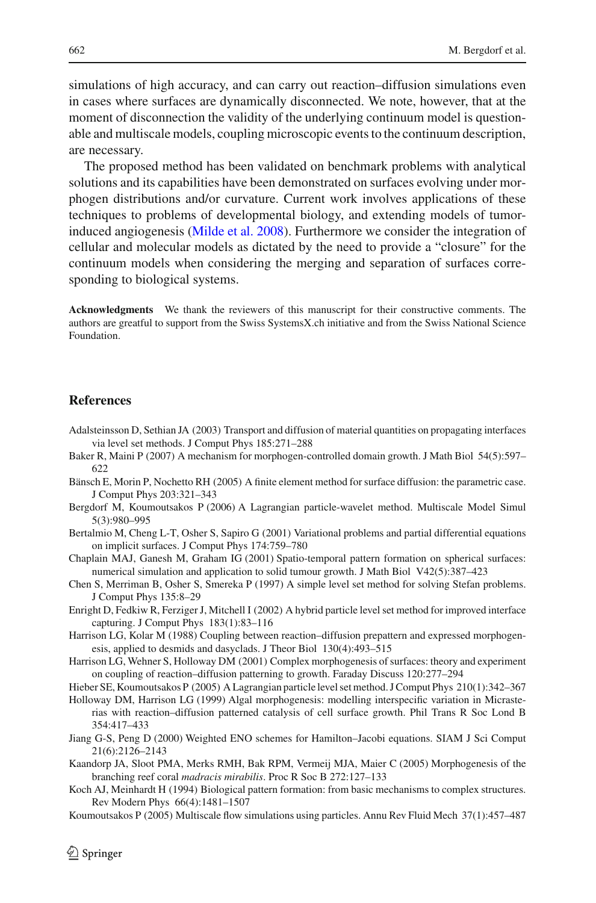simulations of high accuracy, and can carry out reaction–diffusion simulations even in cases where surfaces are dynamically disconnected. We note, however, that at the moment of disconnection the validity of the underlying continuum model is questionable and multiscale models, coupling microscopic events to the continuum description, are necessary.

The proposed method has been validated on benchmark problems with analytical solutions and its capabilities have been demonstrated on surfaces evolving under morphogen distributions and/or curvature. Current work involves applications of these techniques to problems of developmental biology, and extending models of tumorinduced angiogenesis [\(Milde et al. 2008](#page-14-16)). Furthermore we consider the integration of cellular and molecular models as dictated by the need to provide a "closure" for the continuum models when considering the merging and separation of surfaces corresponding to biological systems.

**Acknowledgments** We thank the reviewers of this manuscript for their constructive comments. The authors are greatful to support from the Swiss SystemsX.ch initiative and from the Swiss National Science Foundation.

## **References**

- <span id="page-13-9"></span>Adalsteinsson D, Sethian JA (2003) Transport and diffusion of material quantities on propagating interfaces via level set methods. J Comput Phys 185:271–288
- <span id="page-13-2"></span>Baker R, Maini P (2007) A mechanism for morphogen-controlled domain growth. J Math Biol 54(5):597– 622
- <span id="page-13-7"></span>Bänsch E, Morin P, Nochetto RH (2005) A finite element method for surface diffusion: the parametric case. J Comput Phys 203:321–343
- <span id="page-13-12"></span>Bergdorf M, Koumoutsakos P (2006) A Lagrangian particle-wavelet method. Multiscale Model Simul 5(3):980–995
- <span id="page-13-8"></span>Bertalmio M, Cheng L-T, Osher S, Sapiro G (2001) Variational problems and partial differential equations on implicit surfaces. J Comput Phys 174:759–780
- <span id="page-13-1"></span>Chaplain MAJ, Ganesh M, Graham IG (2001) Spatio-temporal pattern formation on spherical surfaces: numerical simulation and application to solid tumour growth. J Math Biol V42(5):387–423
- <span id="page-13-15"></span>Chen S, Merriman B, Osher S, Smereka P (1997) A simple level set method for solving Stefan problems. J Comput Phys 135:8–29
- <span id="page-13-10"></span>Enright D, Fedkiw R, Ferziger J, Mitchell I (2002) A hybrid particle level set method for improved interface capturing. J Comput Phys 183(1):83–116
- <span id="page-13-3"></span>Harrison LG, Kolar M (1988) Coupling between reaction–diffusion prepattern and expressed morphogenesis, applied to desmids and dasyclads. J Theor Biol 130(4):493–515
- <span id="page-13-5"></span>Harrison LG, Wehner S, Holloway DM (2001) Complex morphogenesis of surfaces: theory and experiment on coupling of reaction–diffusion patterning to growth. Faraday Discuss 120:277–294
- <span id="page-13-11"></span>Hieber SE, Koumoutsakos P (2005) A Lagrangian particle level set method. J Comput Phys 210(1):342–367
- <span id="page-13-4"></span>Holloway DM, Harrison LG (1999) Algal morphogenesis: modelling interspecific variation in Micrasterias with reaction–diffusion patterned catalysis of cell surface growth. Phil Trans R Soc Lond B 354:417–433
- <span id="page-13-14"></span>Jiang G-S, Peng D (2000) Weighted ENO schemes for Hamilton–Jacobi equations. SIAM J Sci Comput 21(6):2126–2143
- <span id="page-13-6"></span>Kaandorp JA, Sloot PMA, Merks RMH, Bak RPM, Vermeij MJA, Maier C (2005) Morphogenesis of the branching reef coral *madracis mirabilis*. Proc R Soc B 272:127–133
- <span id="page-13-0"></span>Koch AJ, Meinhardt H (1994) Biological pattern formation: from basic mechanisms to complex structures. Rev Modern Phys 66(4):1481–1507
- <span id="page-13-13"></span>Koumoutsakos P (2005) Multiscale flow simulations using particles. Annu Rev Fluid Mech 37(1):457–487